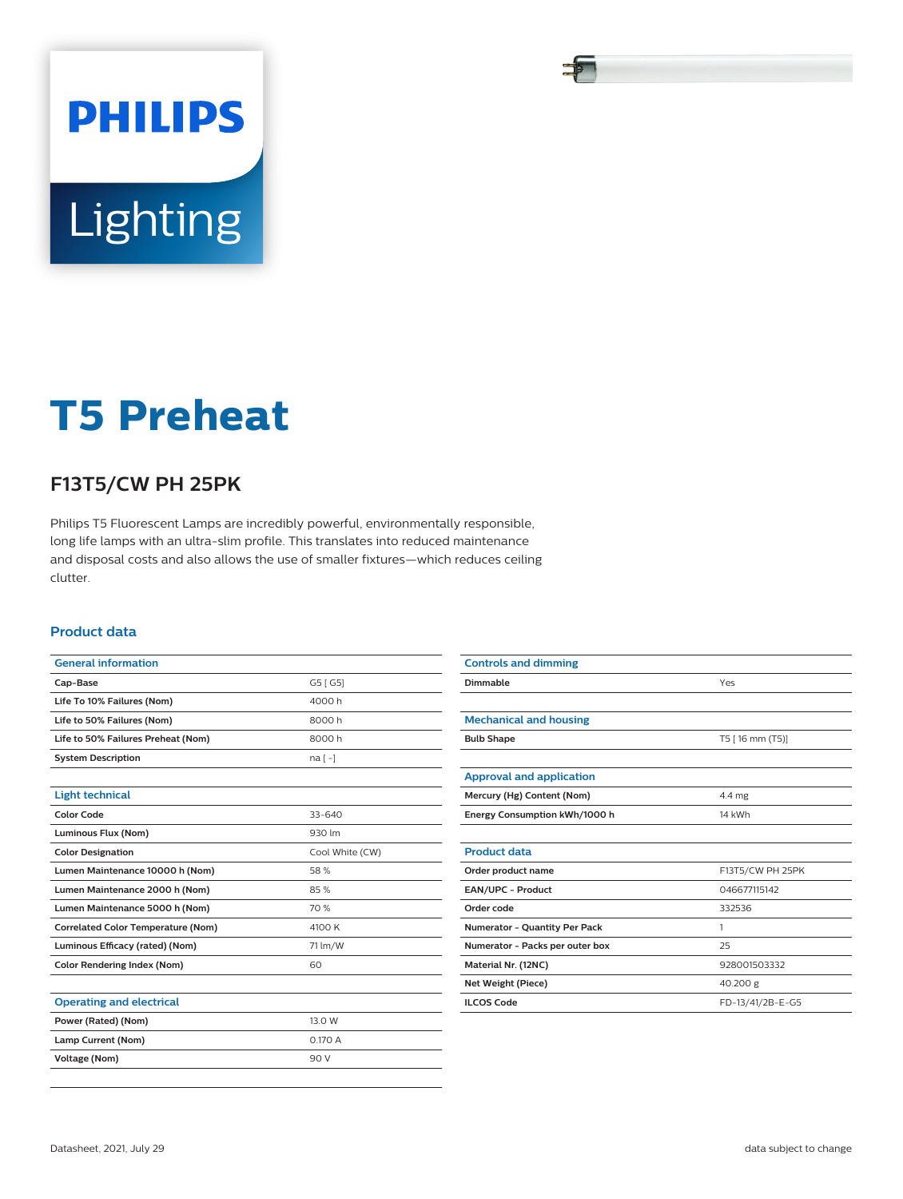# **PHILIPS** Lighting

# **T5 Preheat**

# **F13T5/CW PH 25PK**

Philips T5 Fluorescent Lamps are incredibly powerful, environmentally responsible, long life lamps with an ultra-slim profile. This translates into reduced maintenance and disposal costs and also allows the use of smaller fixtures—which reduces ceiling clutter.

### **Product data**

| <b>General information</b>                |                 |  |  |  |
|-------------------------------------------|-----------------|--|--|--|
| Cap-Base                                  | G5 [ G5]        |  |  |  |
| Life To 10% Failures (Nom)                | 4000h           |  |  |  |
| 8000h<br>Life to 50% Failures (Nom)       |                 |  |  |  |
| Life to 50% Failures Preheat (Nom)        | 8000h           |  |  |  |
| <b>System Description</b>                 | $na[-]$         |  |  |  |
|                                           |                 |  |  |  |
| <b>Light technical</b>                    |                 |  |  |  |
| Color Code                                | $33 - 640$      |  |  |  |
| Luminous Flux (Nom)                       | 930 lm          |  |  |  |
| <b>Color Designation</b>                  | Cool White (CW) |  |  |  |
| Lumen Maintenance 10000 h (Nom)           | 58%             |  |  |  |
| Lumen Maintenance 2000 h (Nom)            | 85%             |  |  |  |
| Lumen Maintenance 5000 h (Nom)            | 70 %            |  |  |  |
| <b>Correlated Color Temperature (Nom)</b> | 4100 K          |  |  |  |
| Luminous Efficacy (rated) (Nom)           | 71 lm/W         |  |  |  |
| <b>Color Rendering Index (Nom)</b>        | 60              |  |  |  |
|                                           |                 |  |  |  |
| <b>Operating and electrical</b>           |                 |  |  |  |
| Power (Rated) (Nom)                       | 13.0 W          |  |  |  |
| Lamp Current (Nom)                        | 0.170 A         |  |  |  |
| <b>Voltage (Nom)</b>                      | 90 V            |  |  |  |
|                                           |                 |  |  |  |

| <b>Controls and dimming</b>          |                  |  |  |
|--------------------------------------|------------------|--|--|
| Dimmable                             | Yes              |  |  |
|                                      |                  |  |  |
| <b>Mechanical and housing</b>        |                  |  |  |
| <b>Bulb Shape</b>                    | T5 [16 mm (T5)]  |  |  |
|                                      |                  |  |  |
| <b>Approval and application</b>      |                  |  |  |
| Mercury (Hg) Content (Nom)           | 4.4 mg           |  |  |
| Energy Consumption kWh/1000 h        | 14 kWh           |  |  |
|                                      |                  |  |  |
| <b>Product data</b>                  |                  |  |  |
| Order product name                   | F13T5/CW PH 25PK |  |  |
| EAN/UPC - Product                    | 046677115142     |  |  |
| Order code                           | 332536           |  |  |
| <b>Numerator - Quantity Per Pack</b> | 1                |  |  |
| Numerator - Packs per outer box      | 25               |  |  |
| Material Nr. (12NC)                  | 928001503332     |  |  |
| Net Weight (Piece)                   | 40.200 g         |  |  |
| <b>ILCOS Code</b>                    | FD-13/41/2B-E-G5 |  |  |